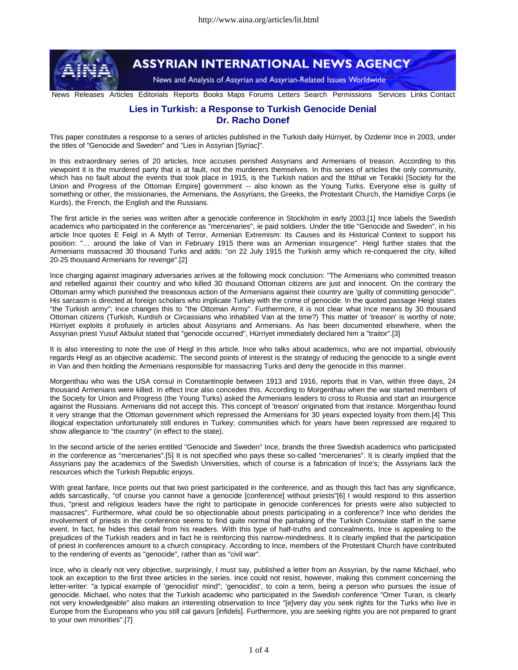

**ASSYRIAN INTERNATIONAL NEWS AGENCY** 

News and Analysis of Assyrian and Assyrian-Related Issues Worldwide

News Releases Articles Editorials Reports Books Maps Forums Letters Search Permissions Services Links Contact

## **Lies in Turkish: a Response to Turkish Genocide Denial Dr. Racho Donef**

This paper constitutes a response to a series of articles published in the Turkish daily Hürriyet, by Ozdemir Ince in 2003, under the titles of "Genocide and Sweden" and "Lies in Assyrian [Syriac]".

In this extraordinary series of 20 articles, Ince accuses perished Assyrians and Armenians of treason. According to this viewpoint it is the murdered party that is at fault, not the murderers themselves. In this series of articles the only community, which has no fault about the events that took place in 1915, is the Turkish nation and the Ittihat ve Terakki [Society for the Union and Progress of the Ottoman Empire] government -- also known as the Young Turks. Everyone else is guilty of something or other, the missionaries, the Armenians, the Assyrians, the Greeks, the Protestant Church, the Hamidiye Corps (ie Kurds), the French, the English and the Russians.

The first article in the series was written after a genocide conference in Stockholm in early 2003.[1] Ince labels the Swedish academics who participated in the conference as "mercenaries", ie paid soldiers. Under the title "Genocide and Sweden", in his article Ince quotes E Feigl in A Myth of Terror, Armenian Extremism: Its Causes and its Historical Context to support his position: "… around the lake of Van in February 1915 there was an Armenian insurgence". Heigl further states that the Armenians massacred 30 thousand Turks and adds: "on 22 July 1915 the Turkish army which re-conquered the city, killed 20-25 thousand Armenians for revenge".[2]

Ince charging against imaginary adversaries arrives at the following mock conclusion: "The Armenians who committed treason and rebelled against their country and who killed 30 thousand Ottoman citizens are just and innocent. On the contrary the Ottoman army which punished the treasonous action of the Armenians against their country are 'guilty of committing genocide'". His sarcasm is directed at foreign scholars who implicate Turkey with the crime of genocide. In the quoted passage Heigl states "the Turkish army"; Ince changes this to "the Ottoman Army". Furthermore, it is not clear what Ince means by 30 thousand Ottoman citizens (Turkish, Kurdish or Circassians who inhabited Van at the time?) This matter of 'treason' is worthy of note; Hürriyet exploits it profusely in articles about Assyrians and Armenians. As has been documented elsewhere, when the Assyrian priest Yusuf Akbulut stated that "genocide occurred", Hürriyet immediately declared him a "traitor".[3]

It is also interesting to note the use of Heigl in this article. Ince who talks about academics, who are not impartial, obviously regards Heigl as an objective academic. The second points of interest is the strategy of reducing the genocide to a single event in Van and then holding the Armenians responsible for massacring Turks and deny the genocide in this manner.

Morgenthau who was the USA consul in Constantinople between 1913 and 1916, reports that in Van, within three days, 24 thousand Armenians were killed. In effect Ince also concedes this. According to Morgenthau when the war started members of the Society for Union and Progress (the Young Turks) asked the Armenians leaders to cross to Russia and start an insurgence against the Russians. Armenians did not accept this. This concept of 'treason' originated from that instance. Morgenthau found it very strange that the Ottoman government which repressed the Armenians for 30 years expected loyalty from them.[4] This illogical expectation unfortunately still endures in Turkey; communities which for years have been repressed are required to show allegiance to "the country" (in effect to the state).

In the second article of the series entitled "Genocide and Sweden" Ince, brands the three Swedish academics who participated in the conference as "mercenaries".[5] It is not specified who pays these so-called "mercenaries". It is clearly implied that the Assyrians pay the academics of the Swedish Universities, which of course is a fabrication of Ince's; the Assyrians lack the resources which the Turkish Republic enjoys.

With great fanfare, Ince points out that two priest participated in the conference, and as though this fact has any significance, adds sarcastically, "of course you cannot have a genocide [conference] without priests"[6] I would respond to this assertion thus, "priest and religious leaders have the right to participate in genocide conferences for priests were also subjected to massacres". Furthermore, what could be so objectionable about priests participating in a conference? Ince who derides the involvement of priests in the conference seems to find quite normal the partaking of the Turkish Consulate staff in the same event. In fact, he hides this detail from his readers. With this type of half-truths and concealments, Ince is appealing to the prejudices of the Turkish readers and in fact he is reinforcing this narrow-mindedness. It is clearly implied that the participation of priest in conferences amount to a church conspiracy. According to Ince, members of the Protestant Church have contributed to the rendering of events as "genocide", rather than as "civil war".

Ince, who is clearly not very objective, surprisingly, I must say, published a letter from an Assyrian, by the name Michael, who took an exception to the first three articles in the series. Ince could not resist, however, making this comment concerning the letter-writer: "a typical example of 'genocidist' mind"; 'genocidist', to coin a term, being a person who pursues the issue of genocide. Michael, who notes that the Turkish academic who participated in the Swedish conference "Omer Turan, is clearly not very knowledgeable" also makes an interesting observation to Ince "[e]very day you seek rights for the Turks who live in Europe from the Europeans who you still cal gavurs [infidels]. Furthermore, you are seeking rights you are not prepared to grant to your own minorities".[7]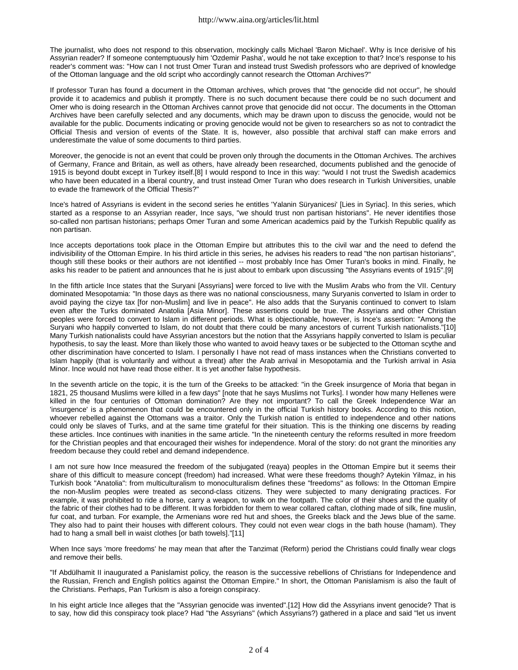The journalist, who does not respond to this observation, mockingly calls Michael 'Baron Michael'. Why is Ince derisive of his Assyrian reader? If someone contemptuously him 'Ozdemir Pasha', would he not take exception to that? Ince's response to his reader's comment was: "How can I not trust Omer Turan and instead trust Swedish professors who are deprived of knowledge of the Ottoman language and the old script who accordingly cannot research the Ottoman Archives?"

If professor Turan has found a document in the Ottoman archives, which proves that "the genocide did not occur", he should provide it to academics and publish it promptly. There is no such document because there could be no such document and Omer who is doing research in the Ottoman Archives cannot prove that genocide did not occur. The documents in the Ottoman Archives have been carefully selected and any documents, which may be drawn upon to discuss the genocide, would not be available for the public. Documents indicating or proving genocide would not be given to researchers so as not to contradict the Official Thesis and version of events of the State. It is, however, also possible that archival staff can make errors and underestimate the value of some documents to third parties.

Moreover, the genocide is not an event that could be proven only through the documents in the Ottoman Archives. The archives of Germany, France and Britain, as well as others, have already been researched, documents published and the genocide of 1915 is beyond doubt except in Turkey itself.[8] I would respond to Ince in this way: "would I not trust the Swedish academics who have been educated in a liberal country, and trust instead Omer Turan who does research in Turkish Universities, unable to evade the framework of the Official Thesis?"

Ince's hatred of Assyrians is evident in the second series he entitles 'Yalanin Süryanicesi' [Lies in Syriac]. In this series, which started as a response to an Assyrian reader, Ince says, "we should trust non partisan historians". He never identifies those so-called non partisan historians; perhaps Omer Turan and some American academics paid by the Turkish Republic qualify as non partisan.

Ince accepts deportations took place in the Ottoman Empire but attributes this to the civil war and the need to defend the indivisibility of the Ottoman Empire. In his third article in this series, he advises his readers to read "the non partisan historians", though still these books or their authors are not identified -- most probably Ince has Omer Turan's books in mind. Finally, he asks his reader to be patient and announces that he is just about to embark upon discussing "the Assyrians events of 1915".[9]

In the fifth article Ince states that the Suryani [Assyrians] were forced to live with the Muslim Arabs who from the VII. Century dominated Mesopotamia: "In those days as there was no national consciousness, many Suryanis converted to Islam in order to avoid paying the cizye tax [for non-Muslim] and live in peace". He also adds that the Suryanis continued to convert to Islam even after the Turks dominated Anatolia [Asia Minor]. These assertions could be true. The Assyrians and other Christian peoples were forced to convert to Islam in different periods. What is objectionable, however, is Ince's assertion: "Among the Suryani who happily converted to Islam, do not doubt that there could be many ancestors of current Turkish nationalists."[10] Many Turkish nationalists could have Assyrian ancestors but the notion that the Assyrians happily converted to Islam is peculiar hypothesis, to say the least. More than likely those who wanted to avoid heavy taxes or be subjected to the Ottoman scythe and other discrimination have concerted to Islam. I personally I have not read of mass instances when the Christians converted to Islam happily (that is voluntarily and without a threat) after the Arab arrival in Mesopotamia and the Turkish arrival in Asia Minor. Ince would not have read those either. It is yet another false hypothesis.

In the seventh article on the topic, it is the turn of the Greeks to be attacked: "in the Greek insurgence of Moria that began in 1821, 25 thousand Muslims were killed in a few days" [note that he says Muslims not Turks]. I wonder how many Hellenes were killed in the four centuries of Ottoman domination? Are they not important? To call the Greek Independence War an 'insurgence' is a phenomenon that could be encountered only in the official Turkish history books. According to this notion, whoever rebelled against the Ottomans was a traitor. Only the Turkish nation is entitled to independence and other nations could only be slaves of Turks, and at the same time grateful for their situation. This is the thinking one discerns by reading these articles. Ince continues with inanities in the same article. "In the nineteenth century the reforms resulted in more freedom for the Christian peoples and that encouraged their wishes for independence. Moral of the story: do not grant the minorities any freedom because they could rebel and demand independence.

I am not sure how Ince measured the freedom of the subjugated (reaya) peoples in the Ottoman Empire but it seems their share of this difficult to measure concept (freedom) had increased. What were these freedoms though? Aytekin Yilmaz, in his Turkish book "Anatolia": from multiculturalism to monoculturalism defines these "freedoms" as follows: In the Ottoman Empire the non-Muslim peoples were treated as second-class citizens. They were subjected to many denigrating practices. For example, it was prohibited to ride a horse, carry a weapon, to walk on the footpath. The color of their shoes and the quality of the fabric of their clothes had to be different. It was forbidden for them to wear collared caftan, clothing made of silk, fine muslin, fur coat, and turban. For example, the Armenians wore red hut and shoes, the Greeks black and the Jews blue of the same. They also had to paint their houses with different colours. They could not even wear clogs in the bath house (hamam). They had to hang a small bell in waist clothes [or bath towels]."[11]

When Ince says 'more freedoms' he may mean that after the Tanzimat (Reform) period the Christians could finally wear clogs and remove their bells.

"If Abdülhamit II inaugurated a Panislamist policy, the reason is the successive rebellions of Christians for Independence and the Russian, French and English politics against the Ottoman Empire." In short, the Ottoman Panislamism is also the fault of the Christians. Perhaps, Pan Turkism is also a foreign conspiracy.

In his eight article Ince alleges that the "Assyrian genocide was invented".[12] How did the Assyrians invent genocide? That is to say, how did this conspiracy took place? Had "the Assyrians" (which Assyrians?) gathered in a place and said "let us invent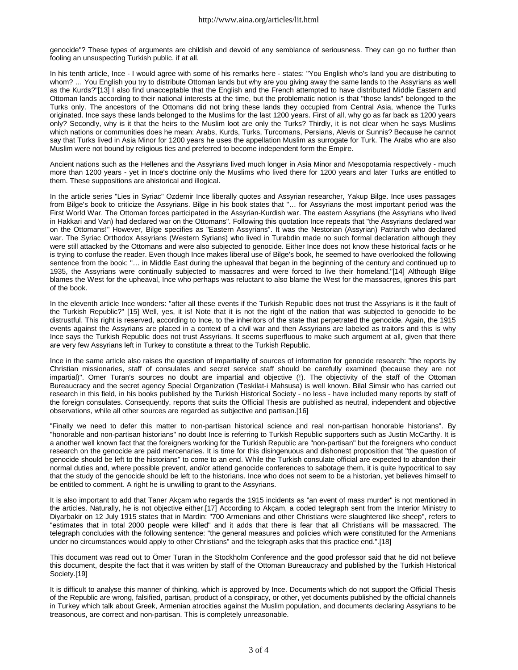genocide"? These types of arguments are childish and devoid of any semblance of seriousness. They can go no further than fooling an unsuspecting Turkish public, if at all.

In his tenth article, Ince - I would agree with some of his remarks here - states: "You English who's land you are distributing to whom? … You English you try to distribute Ottoman lands but why are you giving away the same lands to the Assyrians as well as the Kurds?"[13] I also find unacceptable that the English and the French attempted to have distributed Middle Eastern and Ottoman lands according to their national interests at the time, but the problematic notion is that "those lands" belonged to the Turks only. The ancestors of the Ottomans did not bring these lands they occupied from Central Asia, whence the Turks originated. Ince says these lands belonged to the Muslims for the last 1200 years. First of all, why go as far back as 1200 years only? Secondly, why is it that the heirs to the Muslim loot are only the Turks? Thirdly, it is not clear when he says Muslims which nations or communities does he mean: Arabs, Kurds, Turks, Turcomans, Persians, Alevis or Sunnis? Because he cannot say that Turks lived in Asia Minor for 1200 years he uses the appellation Muslim as surrogate for Turk. The Arabs who are also Muslim were not bound by religious ties and preferred to become independent form the Empire.

Ancient nations such as the Hellenes and the Assyrians lived much longer in Asia Minor and Mesopotamia respectively - much more than 1200 years - yet in Ince's doctrine only the Muslims who lived there for 1200 years and later Turks are entitled to them. These suppositions are ahistorical and illogical.

In the article series "Lies in Syriac" Ozdemir Ince liberally quotes and Assyrian researcher, Yakup Bilge. Ince uses passages from Bilge's book to criticize the Assyrians. Bilge in his book states that "… for Assyrians the most important period was the First World War. The Ottoman forces participated in the Assyrian-Kurdish war. The eastern Assyrians (the Assyrians who lived in Hakkari and Van) had declared war on the Ottomans". Following this quotation Ince repeats that "the Assyrians declared war on the Ottomans!" However, Bilge specifies as "Eastern Assyrians". It was the Nestorian (Assyrian) Patriarch who declared war. The Syriac Orthodox Assyrians (Western Syrians) who lived in Turabdin made no such formal declaration although they were still attacked by the Ottomans and were also subjected to genocide. Either Ince does not know these historical facts or he is trying to confuse the reader. Even though Ince makes liberal use of Bilge's book, he seemed to have overlooked the following sentence from the book: "… in Middle East during the upheaval that began in the beginning of the century and continued up to 1935, the Assyrians were continually subjected to massacres and were forced to live their homeland."[14] Although Bilge blames the West for the upheaval, Ince who perhaps was reluctant to also blame the West for the massacres, ignores this part of the book.

In the eleventh article Ince wonders: "after all these events if the Turkish Republic does not trust the Assyrians is it the fault of the Turkish Republic?" [15] Well, yes, it is! Note that it is not the right of the nation that was subjected to genocide to be distrustful. This right is reserved, according to Ince, to the inheritors of the state that perpetrated the genocide. Again, the 1915 events against the Assyrians are placed in a context of a civil war and then Assyrians are labeled as traitors and this is why Ince says the Turkish Republic does not trust Assyrians. It seems superfluous to make such argument at all, given that there are very few Assyrians left in Turkey to constitute a threat to the Turkish Republic.

Ince in the same article also raises the question of impartiality of sources of information for genocide research: "the reports by Christian missionaries, staff of consulates and secret service staff should be carefully examined (because they are not impartial)". Omer Turan's sources no doubt are impartial and objective (!). The objectivity of the staff of the Ottoman Bureaucracy and the secret agency Special Organization (Teskilat-i Mahsusa) is well known. Bilal Simsir who has carried out research in this field, in his books published by the Turkish Historical Society - no less - have included many reports by staff of the foreign consulates. Consequently, reports that suits the Official Thesis are published as neutral, independent and objective observations, while all other sources are regarded as subjective and partisan.[16]

"Finally we need to defer this matter to non-partisan historical science and real non-partisan honorable historians". By "honorable and non-partisan historians" no doubt Ince is referring to Turkish Republic supporters such as Justin McCarthy. It is a another well known fact that the foreigners working for the Turkish Republic are "non-partisan" but the foreigners who conduct research on the genocide are paid mercenaries. It is time for this disingenuous and dishonest proposition that "the question of genocide should be left to the historians" to come to an end. While the Turkish consulate official are expected to abandon their normal duties and, where possible prevent, and/or attend genocide conferences to sabotage them, it is quite hypocritical to say that the study of the genocide should be left to the historians. Ince who does not seem to be a historian, yet believes himself to be entitled to comment. A right he is unwilling to grant to the Assyrians.

It is also important to add that Taner Akçam who regards the 1915 incidents as "an event of mass murder" is not mentioned in the articles. Naturally, he is not objective either.[17] According to Akçam, a coded telegraph sent from the Interior Ministry to Diyarbakir on 12 July 1915 states that in Mardin: "700 Armenians and other Christians were slaughtered like sheep", refers to "estimates that in total 2000 people were killed" and it adds that there is fear that all Christians will be massacred. The telegraph concludes with the following sentence: "the general measures and policies which were constituted for the Armenians under no circumstances would apply to other Christians" and the telegraph asks that this practice end.".[18]

This document was read out to Ömer Turan in the Stockholm Conference and the good professor said that he did not believe this document, despite the fact that it was written by staff of the Ottoman Bureaucracy and published by the Turkish Historical Society.[19]

It is difficult to analyse this manner of thinking, which is approved by Ince. Documents which do not support the Official Thesis of the Republic are wrong, falsified, partisan, product of a conspiracy, or other, yet documents published by the official channels in Turkey which talk about Greek, Armenian atrocities against the Muslim population, and documents declaring Assyrians to be treasonous, are correct and non-partisan. This is completely unreasonable.